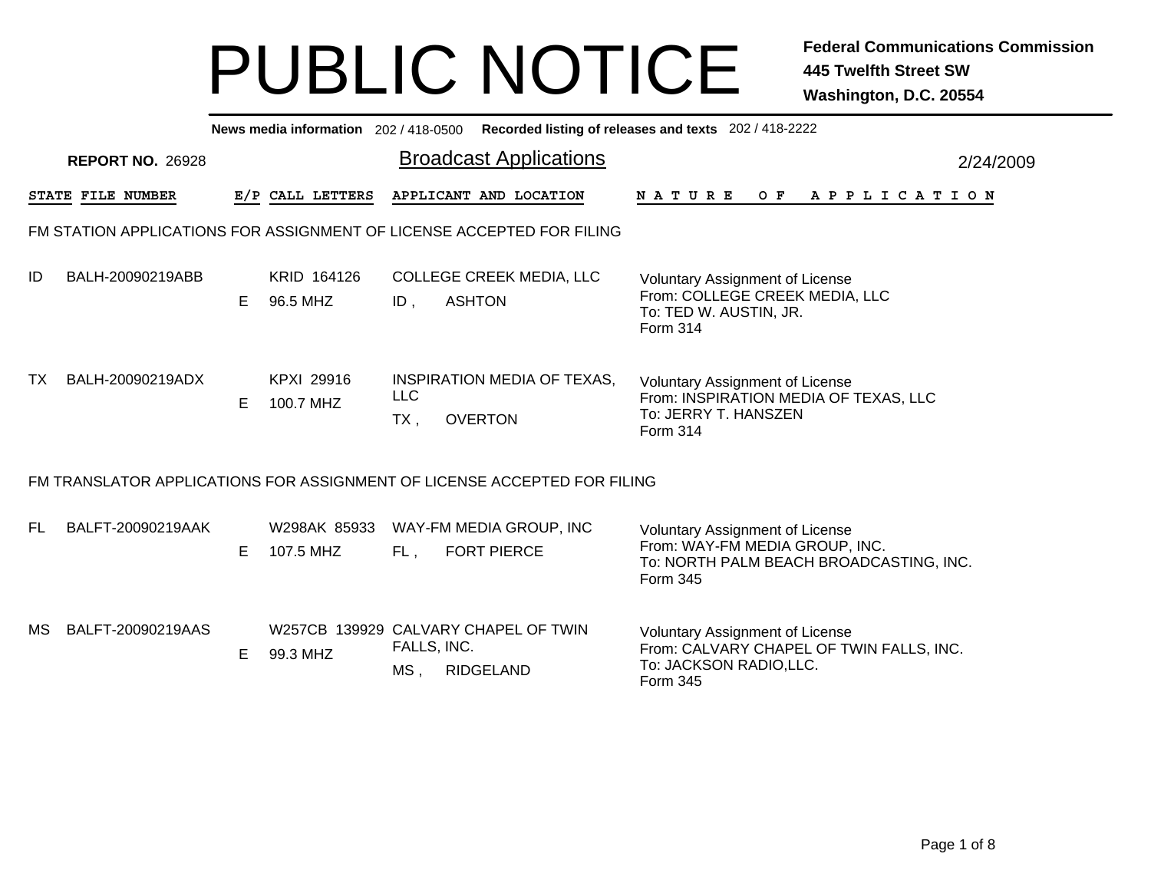|                                                                       | News media information 202 / 418-0500 Recorded listing of releases and texts 202 / 418-2222 |    |                           |                                |                                                                          |                                                                                                                            |  |  |  |  |  |  |  |  |
|-----------------------------------------------------------------------|---------------------------------------------------------------------------------------------|----|---------------------------|--------------------------------|--------------------------------------------------------------------------|----------------------------------------------------------------------------------------------------------------------------|--|--|--|--|--|--|--|--|
| <b>Broadcast Applications</b><br><b>REPORT NO. 26928</b><br>2/24/2009 |                                                                                             |    |                           |                                |                                                                          |                                                                                                                            |  |  |  |  |  |  |  |  |
|                                                                       | STATE FILE NUMBER                                                                           |    | E/P CALL LETTERS          |                                | APPLICANT AND LOCATION                                                   | <b>NATURE</b><br>OF APPLICATION                                                                                            |  |  |  |  |  |  |  |  |
|                                                                       | FM STATION APPLICATIONS FOR ASSIGNMENT OF LICENSE ACCEPTED FOR FILING                       |    |                           |                                |                                                                          |                                                                                                                            |  |  |  |  |  |  |  |  |
| ID                                                                    | BALH-20090219ABB                                                                            | E. | KRID 164126<br>96.5 MHZ   | ID,                            | <b>COLLEGE CREEK MEDIA, LLC</b><br><b>ASHTON</b>                         | <b>Voluntary Assignment of License</b><br>From: COLLEGE CREEK MEDIA, LLC<br>To: TED W. AUSTIN, JR.<br><b>Form 314</b>      |  |  |  |  |  |  |  |  |
| TX                                                                    | BALH-20090219ADX                                                                            | E. | KPXI 29916<br>100.7 MHZ   | <b>LLC</b><br>$TX$ ,           | INSPIRATION MEDIA OF TEXAS,<br><b>OVERTON</b>                            | <b>Voluntary Assignment of License</b><br>From: INSPIRATION MEDIA OF TEXAS, LLC<br>To: JERRY T. HANSZEN<br><b>Form 314</b> |  |  |  |  |  |  |  |  |
|                                                                       |                                                                                             |    |                           |                                | FM TRANSLATOR APPLICATIONS FOR ASSIGNMENT OF LICENSE ACCEPTED FOR FILING |                                                                                                                            |  |  |  |  |  |  |  |  |
| FL.                                                                   | BALFT-20090219AAK                                                                           | E. | W298AK 85933<br>107.5 MHZ | FL,                            | WAY-FM MEDIA GROUP, INC<br><b>FORT PIERCE</b>                            | Voluntary Assignment of License<br>From: WAY-FM MEDIA GROUP, INC.<br>To: NORTH PALM BEACH BROADCASTING, INC.<br>Form 345   |  |  |  |  |  |  |  |  |
| MS                                                                    | BALFT-20090219AAS                                                                           | E. | 99.3 MHZ                  | FALLS, INC.<br>MS <sub>1</sub> | W257CB 139929 CALVARY CHAPEL OF TWIN<br><b>RIDGELAND</b>                 | Voluntary Assignment of License<br>From: CALVARY CHAPEL OF TWIN FALLS, INC.<br>To: JACKSON RADIO,LLC.<br>Form 345          |  |  |  |  |  |  |  |  |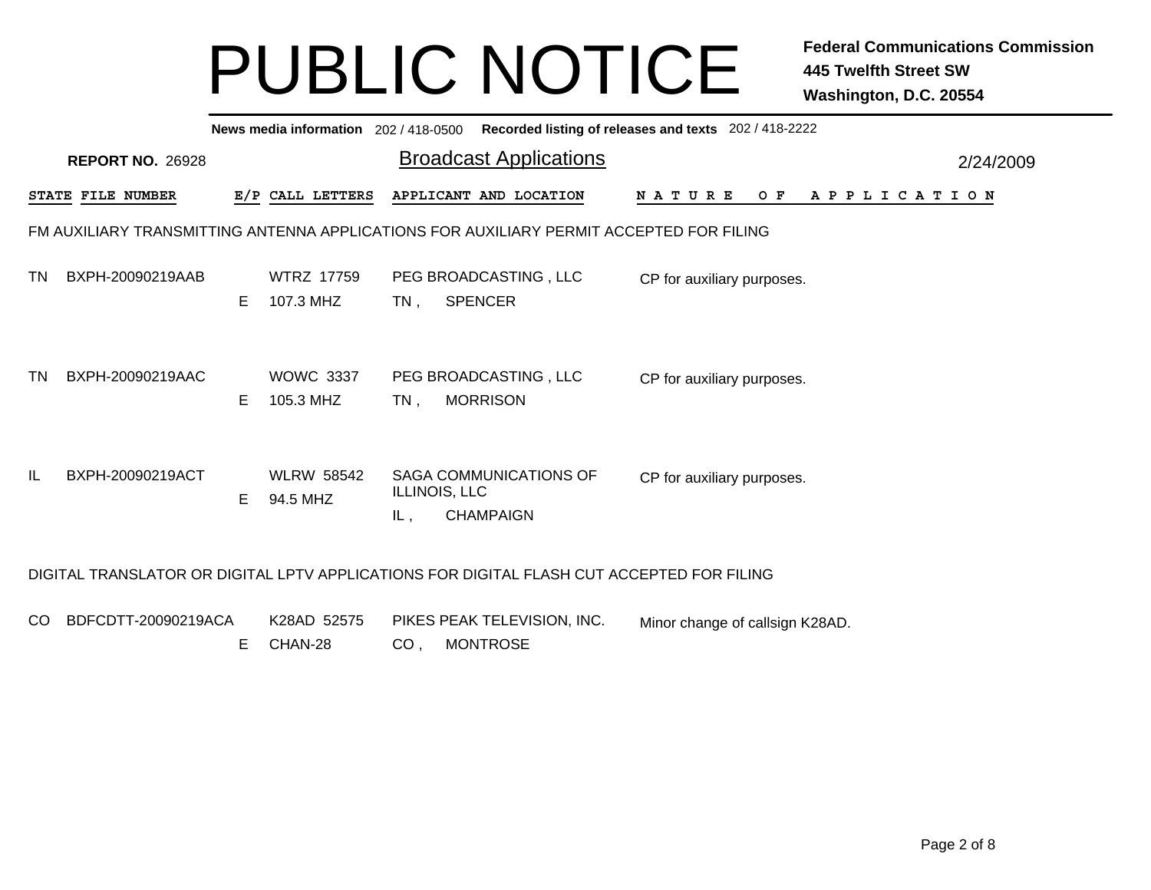|               | News media information 202 / 418-0500 Recorded listing of releases and texts 202 / 418-2222 |    |                                |        |                                                                                           |                                 |  |  |  |     |  |  |  |  |  |                       |  |  |
|---------------|---------------------------------------------------------------------------------------------|----|--------------------------------|--------|-------------------------------------------------------------------------------------------|---------------------------------|--|--|--|-----|--|--|--|--|--|-----------------------|--|--|
|               | <b>Broadcast Applications</b><br><b>REPORT NO. 26928</b><br>2/24/2009                       |    |                                |        |                                                                                           |                                 |  |  |  |     |  |  |  |  |  |                       |  |  |
|               | STATE FILE NUMBER                                                                           |    | E/P CALL LETTERS               |        | APPLICANT AND LOCATION                                                                    | <b>NATURE</b>                   |  |  |  | O F |  |  |  |  |  | A P P L I C A T I O N |  |  |
|               | FM AUXILIARY TRANSMITTING ANTENNA APPLICATIONS FOR AUXILIARY PERMIT ACCEPTED FOR FILING     |    |                                |        |                                                                                           |                                 |  |  |  |     |  |  |  |  |  |                       |  |  |
| ΤN            | BXPH-20090219AAB                                                                            | E. | <b>WTRZ 17759</b><br>107.3 MHZ | $TN$ , | PEG BROADCASTING, LLC<br><b>SPENCER</b>                                                   | CP for auxiliary purposes.      |  |  |  |     |  |  |  |  |  |                       |  |  |
| TN            | BXPH-20090219AAC                                                                            | E. | <b>WOWC 3337</b><br>105.3 MHZ  | TN,    | PEG BROADCASTING, LLC<br><b>MORRISON</b>                                                  | CP for auxiliary purposes.      |  |  |  |     |  |  |  |  |  |                       |  |  |
| IL            | BXPH-20090219ACT                                                                            | E. | <b>WLRW 58542</b><br>94.5 MHZ  | IL,    | SAGA COMMUNICATIONS OF<br>ILLINOIS, LLC<br><b>CHAMPAIGN</b>                               | CP for auxiliary purposes.      |  |  |  |     |  |  |  |  |  |                       |  |  |
|               |                                                                                             |    |                                |        | DIGITAL TRANSLATOR OR DIGITAL LPTV APPLICATIONS FOR DIGITAL FLASH CUT ACCEPTED FOR FILING |                                 |  |  |  |     |  |  |  |  |  |                       |  |  |
| <sub>CO</sub> | BDFCDTT-20090219ACA                                                                         | Е  | K28AD 52575<br>CHAN-28         | CO,    | PIKES PEAK TELEVISION, INC.<br><b>MONTROSE</b>                                            | Minor change of callsign K28AD. |  |  |  |     |  |  |  |  |  |                       |  |  |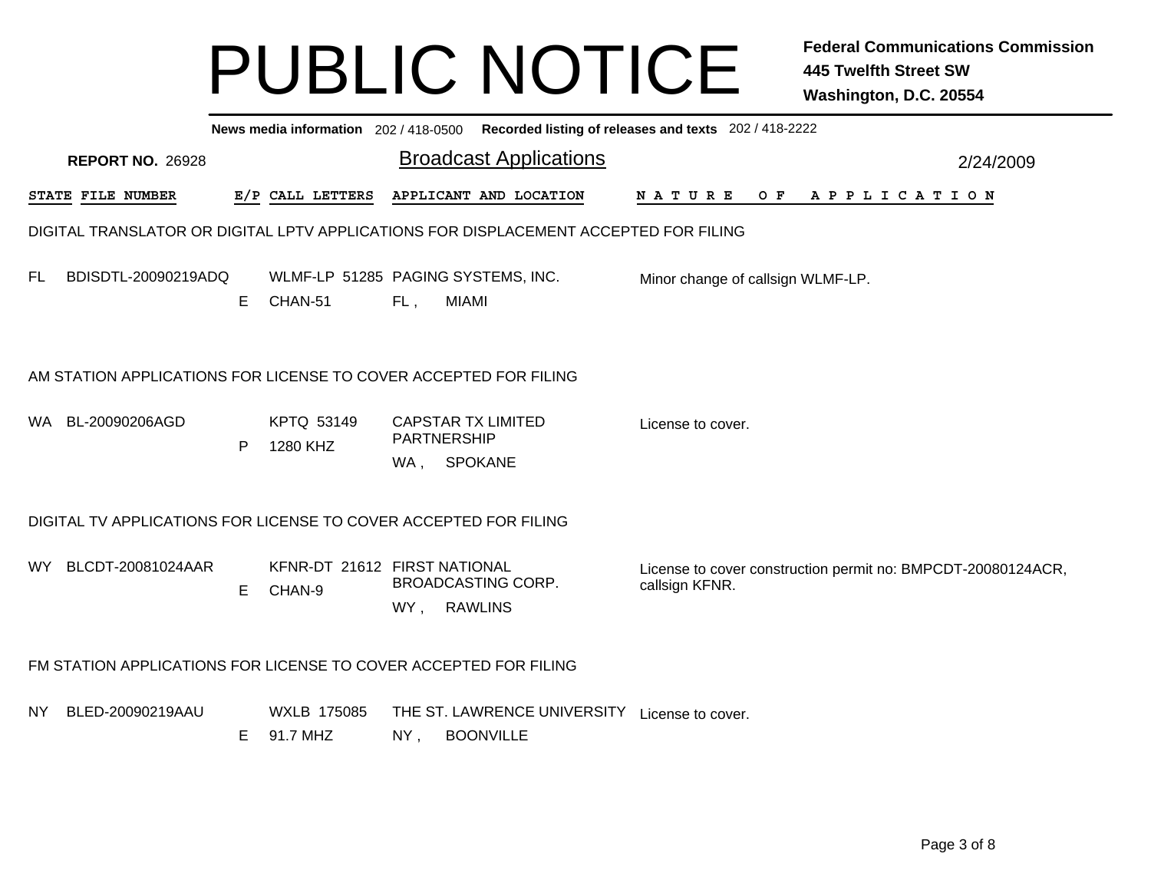|     | News media information 202/418-0500 Recorded listing of releases and texts 202/418-2222 |  |    |                                               |                    |                                                                                      |  |                |                                   |  |  |  |  |  |  |  |           |                                                              |
|-----|-----------------------------------------------------------------------------------------|--|----|-----------------------------------------------|--------------------|--------------------------------------------------------------------------------------|--|----------------|-----------------------------------|--|--|--|--|--|--|--|-----------|--------------------------------------------------------------|
|     | <b>REPORT NO. 26928</b>                                                                 |  |    |                                               |                    | <b>Broadcast Applications</b>                                                        |  |                |                                   |  |  |  |  |  |  |  | 2/24/2009 |                                                              |
|     | STATE FILE NUMBER                                                                       |  |    | E/P CALL LETTERS                              |                    | APPLICANT AND LOCATION                                                               |  |                | NATURE OF APPLICATION             |  |  |  |  |  |  |  |           |                                                              |
|     |                                                                                         |  |    |                                               |                    | DIGITAL TRANSLATOR OR DIGITAL LPTV APPLICATIONS FOR DISPLACEMENT ACCEPTED FOR FILING |  |                |                                   |  |  |  |  |  |  |  |           |                                                              |
| FL. | BDISDTL-20090219ADQ                                                                     |  | E. | WLMF-LP 51285 PAGING SYSTEMS, INC.<br>CHAN-51 | FL,                | <b>MIAMI</b>                                                                         |  |                | Minor change of callsign WLMF-LP. |  |  |  |  |  |  |  |           |                                                              |
|     |                                                                                         |  |    |                                               |                    | AM STATION APPLICATIONS FOR LICENSE TO COVER ACCEPTED FOR FILING                     |  |                |                                   |  |  |  |  |  |  |  |           |                                                              |
|     | WA BL-20090206AGD                                                                       |  | P  | KPTQ 53149<br>1280 KHZ                        | PARTNERSHIP<br>WA, | <b>CAPSTAR TX LIMITED</b><br><b>SPOKANE</b>                                          |  |                | License to cover.                 |  |  |  |  |  |  |  |           |                                                              |
|     |                                                                                         |  |    |                                               |                    | DIGITAL TV APPLICATIONS FOR LICENSE TO COVER ACCEPTED FOR FILING                     |  |                |                                   |  |  |  |  |  |  |  |           |                                                              |
|     | WY BLCDT-20081024AAR                                                                    |  | E. | KFNR-DT 21612 FIRST NATIONAL<br>CHAN-9        |                    | <b>BROADCASTING CORP.</b><br>WY, RAWLINS                                             |  | callsign KFNR. |                                   |  |  |  |  |  |  |  |           | License to cover construction permit no: BMPCDT-20080124ACR, |
|     |                                                                                         |  |    |                                               |                    | FM STATION APPLICATIONS FOR LICENSE TO COVER ACCEPTED FOR FILING                     |  |                |                                   |  |  |  |  |  |  |  |           |                                                              |
| NY. | BLED-20090219AAU                                                                        |  | E. | <b>WXLB 175085</b><br>91.7 MHZ                | NY,                | THE ST. LAWRENCE UNIVERSITY<br><b>BOONVILLE</b>                                      |  |                | License to cover.                 |  |  |  |  |  |  |  |           |                                                              |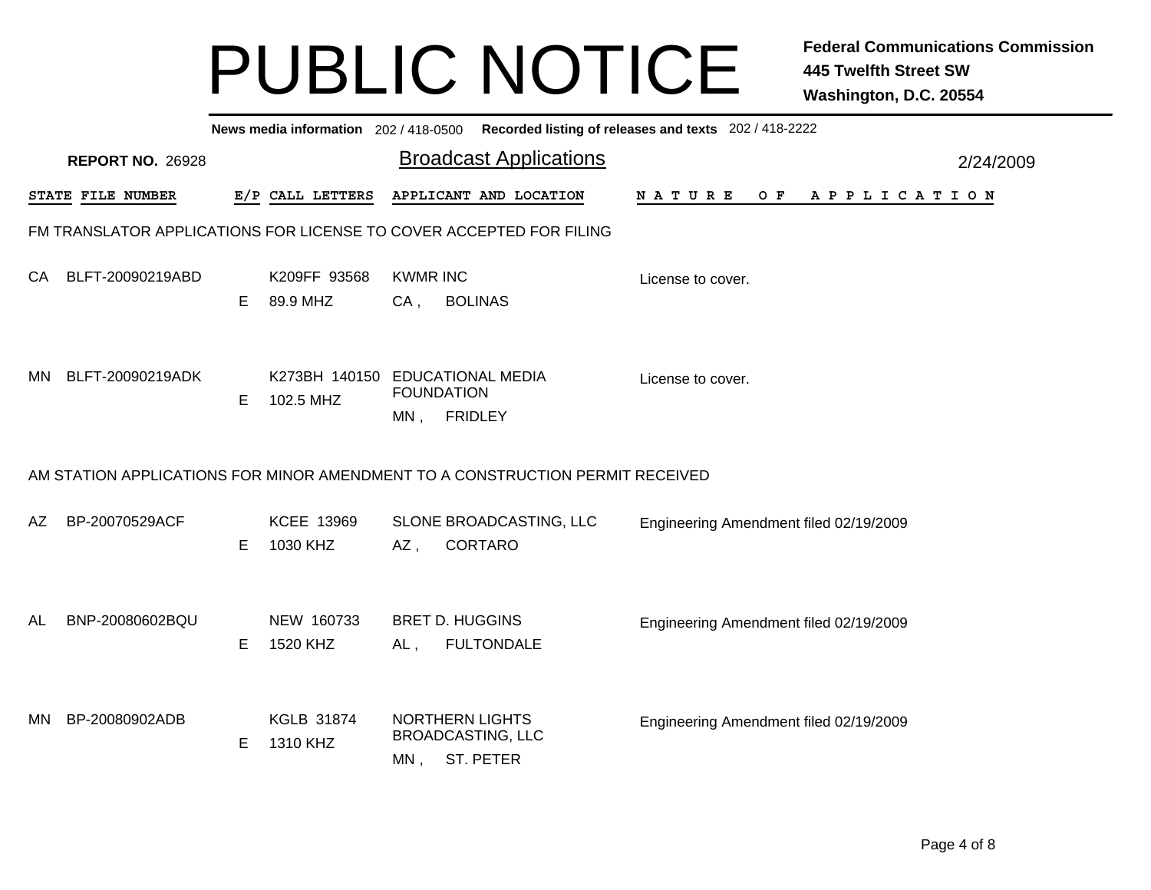|           | News media information 202 / 418-0500 Recorded listing of releases and texts 202 / 418-2222 |                               |                                              |                           |                                                                     |  |  |                                        |  |  |  |     |  |  |           |             |  |  |  |
|-----------|---------------------------------------------------------------------------------------------|-------------------------------|----------------------------------------------|---------------------------|---------------------------------------------------------------------|--|--|----------------------------------------|--|--|--|-----|--|--|-----------|-------------|--|--|--|
|           | <b>REPORT NO. 26928</b>                                                                     | <b>Broadcast Applications</b> |                                              |                           |                                                                     |  |  |                                        |  |  |  |     |  |  | 2/24/2009 |             |  |  |  |
|           | STATE FILE NUMBER                                                                           |                               | E/P CALL LETTERS                             |                           | APPLICANT AND LOCATION                                              |  |  | NATURE                                 |  |  |  | O F |  |  |           | APPLICATION |  |  |  |
|           | FM TRANSLATOR APPLICATIONS FOR LICENSE TO COVER ACCEPTED FOR FILING                         |                               |                                              |                           |                                                                     |  |  |                                        |  |  |  |     |  |  |           |             |  |  |  |
| CA.       | BLFT-20090219ABD                                                                            | Е                             | K209FF 93568<br>89.9 MHZ                     | <b>KWMR INC</b><br>$CA$ , | <b>BOLINAS</b>                                                      |  |  | License to cover.                      |  |  |  |     |  |  |           |             |  |  |  |
| <b>MN</b> | BLFT-20090219ADK                                                                            | Е                             | K273BH 140150 EDUCATIONAL MEDIA<br>102.5 MHZ | MN ,                      | <b>FOUNDATION</b><br><b>FRIDLEY</b>                                 |  |  | License to cover.                      |  |  |  |     |  |  |           |             |  |  |  |
|           | AM STATION APPLICATIONS FOR MINOR AMENDMENT TO A CONSTRUCTION PERMIT RECEIVED               |                               |                                              |                           |                                                                     |  |  |                                        |  |  |  |     |  |  |           |             |  |  |  |
| AZ.       | BP-20070529ACF                                                                              | Е                             | KCEE 13969<br>1030 KHZ                       | AZ,                       | SLONE BROADCASTING, LLC<br><b>CORTARO</b>                           |  |  | Engineering Amendment filed 02/19/2009 |  |  |  |     |  |  |           |             |  |  |  |
| AL        | BNP-20080602BQU                                                                             | Е                             | NEW 160733<br>1520 KHZ                       | AL,                       | <b>BRET D. HUGGINS</b><br><b>FULTONDALE</b>                         |  |  | Engineering Amendment filed 02/19/2009 |  |  |  |     |  |  |           |             |  |  |  |
| MN.       | BP-20080902ADB                                                                              | Е                             | <b>KGLB 31874</b><br>1310 KHZ                |                           | <b>NORTHERN LIGHTS</b><br><b>BROADCASTING, LLC</b><br>MN, ST. PETER |  |  | Engineering Amendment filed 02/19/2009 |  |  |  |     |  |  |           |             |  |  |  |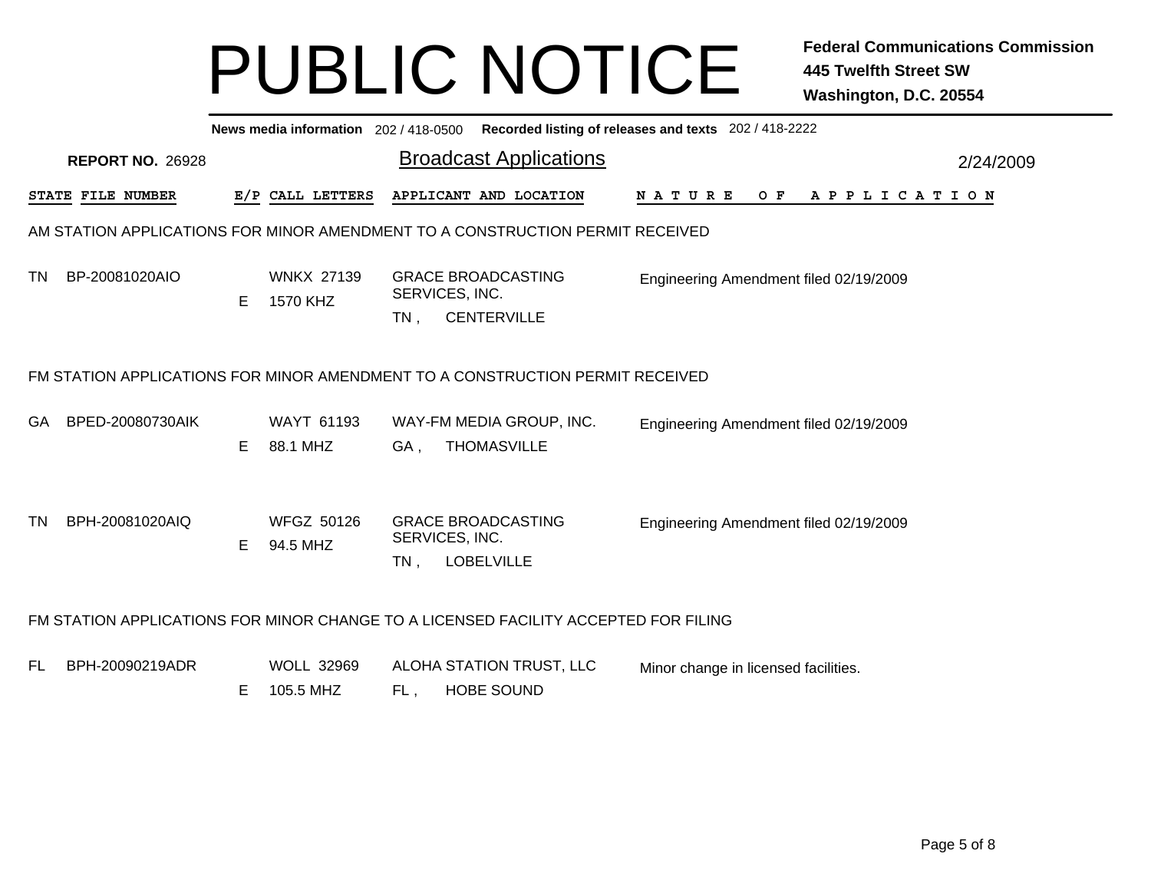|                                                                       | News media information 202 / 418-0500 Recorded listing of releases and texts 202 / 418-2222 |    |                                |        |                                                                                     |                                               |  |  |  |  |  |  |  |  |  |
|-----------------------------------------------------------------------|---------------------------------------------------------------------------------------------|----|--------------------------------|--------|-------------------------------------------------------------------------------------|-----------------------------------------------|--|--|--|--|--|--|--|--|--|
| <b>Broadcast Applications</b><br><b>REPORT NO. 26928</b><br>2/24/2009 |                                                                                             |    |                                |        |                                                                                     |                                               |  |  |  |  |  |  |  |  |  |
|                                                                       | STATE FILE NUMBER                                                                           |    | E/P CALL LETTERS               |        | APPLICANT AND LOCATION                                                              | N A T U R E<br>$O$ F<br>A P P L I C A T I O N |  |  |  |  |  |  |  |  |  |
|                                                                       |                                                                                             |    |                                |        | AM STATION APPLICATIONS FOR MINOR AMENDMENT TO A CONSTRUCTION PERMIT RECEIVED       |                                               |  |  |  |  |  |  |  |  |  |
| TN.                                                                   | BP-20081020AIO                                                                              | E. | <b>WNKX 27139</b><br>1570 KHZ  | $TN$ , | <b>GRACE BROADCASTING</b><br>SERVICES, INC.<br><b>CENTERVILLE</b>                   | Engineering Amendment filed 02/19/2009        |  |  |  |  |  |  |  |  |  |
|                                                                       | FM STATION APPLICATIONS FOR MINOR AMENDMENT TO A CONSTRUCTION PERMIT RECEIVED               |    |                                |        |                                                                                     |                                               |  |  |  |  |  |  |  |  |  |
| GA.                                                                   | BPED-20080730AIK                                                                            | E. | <b>WAYT 61193</b><br>88.1 MHZ  | GA,    | WAY-FM MEDIA GROUP, INC.<br><b>THOMASVILLE</b>                                      | Engineering Amendment filed 02/19/2009        |  |  |  |  |  |  |  |  |  |
| <b>TN</b>                                                             | BPH-20081020AIQ                                                                             | E  | <b>WFGZ 50126</b><br>94.5 MHZ  | $TN$ , | <b>GRACE BROADCASTING</b><br>SERVICES, INC.<br><b>LOBELVILLE</b>                    | Engineering Amendment filed 02/19/2009        |  |  |  |  |  |  |  |  |  |
|                                                                       |                                                                                             |    |                                |        | FM STATION APPLICATIONS FOR MINOR CHANGE TO A LICENSED FACILITY ACCEPTED FOR FILING |                                               |  |  |  |  |  |  |  |  |  |
| FL.                                                                   | BPH-20090219ADR                                                                             | Е  | <b>WOLL 32969</b><br>105.5 MHZ | FL,    | ALOHA STATION TRUST, LLC<br><b>HOBE SOUND</b>                                       | Minor change in licensed facilities.          |  |  |  |  |  |  |  |  |  |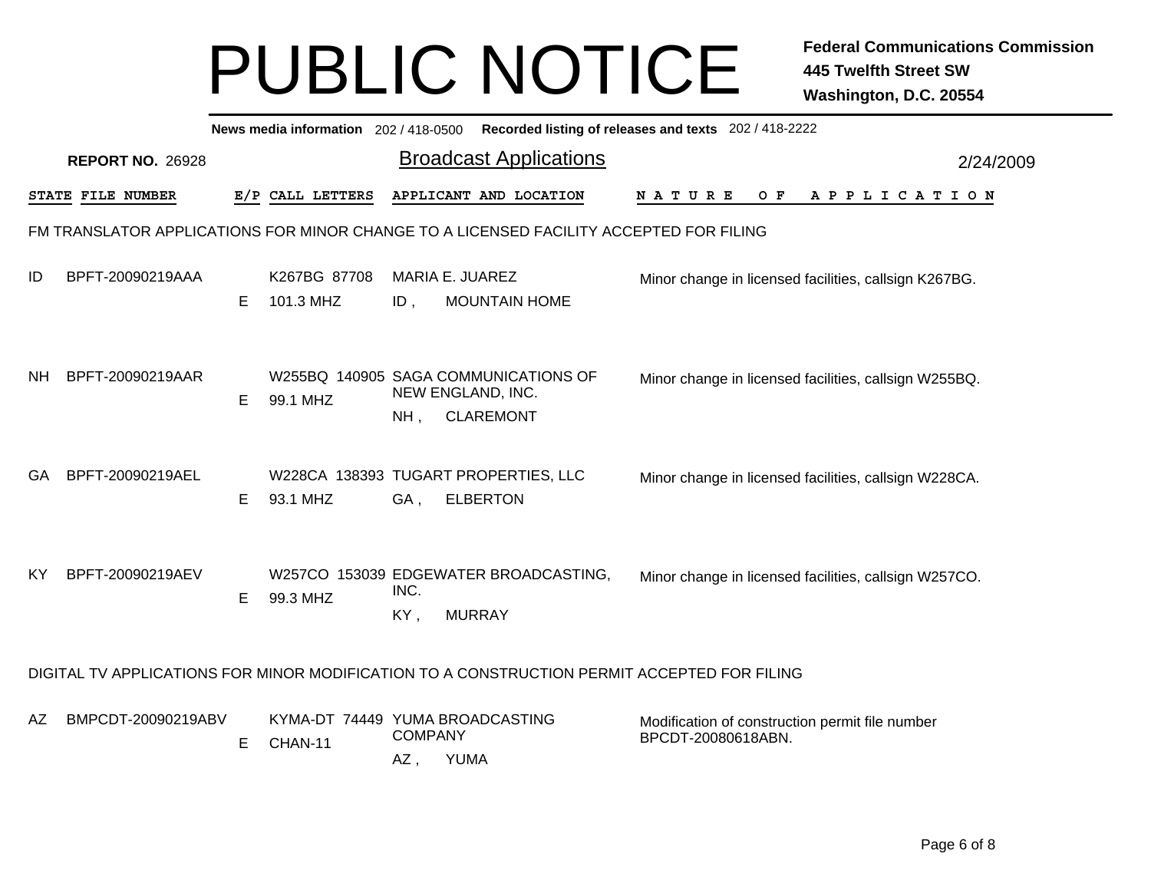|     | News media information 202 / 418-0500<br>Recorded listing of releases and texts 202 / 418-2222 |                         |   |                                            |                       |                                                                                             |                                                                       |  |  |  |       |  |  |  |                       |  |  |           |
|-----|------------------------------------------------------------------------------------------------|-------------------------|---|--------------------------------------------|-----------------------|---------------------------------------------------------------------------------------------|-----------------------------------------------------------------------|--|--|--|-------|--|--|--|-----------------------|--|--|-----------|
|     |                                                                                                | <b>REPORT NO. 26928</b> |   |                                            |                       | <b>Broadcast Applications</b>                                                               |                                                                       |  |  |  |       |  |  |  |                       |  |  | 2/24/2009 |
|     |                                                                                                | STATE FILE NUMBER       |   | E/P CALL LETTERS                           |                       | APPLICANT AND LOCATION                                                                      | N A T U R E                                                           |  |  |  | $O$ F |  |  |  | A P P L I C A T I O N |  |  |           |
|     |                                                                                                |                         |   |                                            |                       | FM TRANSLATOR APPLICATIONS FOR MINOR CHANGE TO A LICENSED FACILITY ACCEPTED FOR FILING      |                                                                       |  |  |  |       |  |  |  |                       |  |  |           |
| ID  |                                                                                                | BPFT-20090219AAA        | E | K267BG 87708<br>101.3 MHZ                  | $ID$ ,                | <b>MARIA E. JUAREZ</b><br><b>MOUNTAIN HOME</b>                                              | Minor change in licensed facilities, callsign K267BG.                 |  |  |  |       |  |  |  |                       |  |  |           |
| NΗ  |                                                                                                | BPFT-20090219AAR        | Е | 99.1 MHZ                                   | $NH$ ,                | W255BQ 140905 SAGA COMMUNICATIONS OF<br>NEW ENGLAND, INC.<br><b>CLAREMONT</b>               | Minor change in licensed facilities, callsign W255BQ.                 |  |  |  |       |  |  |  |                       |  |  |           |
| GA  |                                                                                                | BPFT-20090219AEL        | Е | 93.1 MHZ                                   | GA,                   | W228CA 138393 TUGART PROPERTIES, LLC<br><b>ELBERTON</b>                                     | Minor change in licensed facilities, callsign W228CA.                 |  |  |  |       |  |  |  |                       |  |  |           |
| KY. |                                                                                                | BPFT-20090219AEV        | Е | 99.3 MHZ                                   | INC.<br>KY,           | W257CO 153039 EDGEWATER BROADCASTING,<br><b>MURRAY</b>                                      | Minor change in licensed facilities, callsign W257CO.                 |  |  |  |       |  |  |  |                       |  |  |           |
|     |                                                                                                |                         |   |                                            |                       | DIGITAL TV APPLICATIONS FOR MINOR MODIFICATION TO A CONSTRUCTION PERMIT ACCEPTED FOR FILING |                                                                       |  |  |  |       |  |  |  |                       |  |  |           |
| AΖ  |                                                                                                | BMPCDT-20090219ABV      | Е | KYMA-DT 74449 YUMA BROADCASTING<br>CHAN-11 | <b>COMPANY</b><br>AZ, | <b>YUMA</b>                                                                                 | Modification of construction permit file number<br>BPCDT-20080618ABN. |  |  |  |       |  |  |  |                       |  |  |           |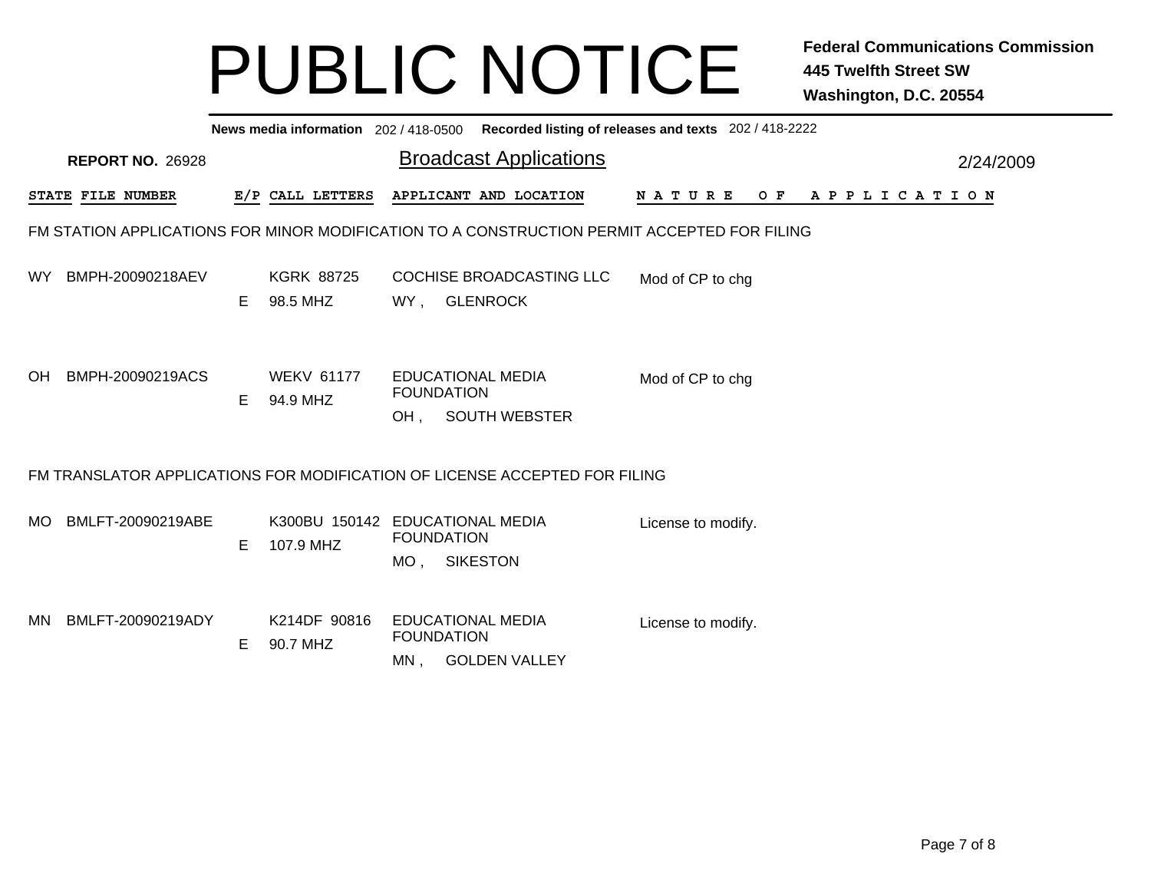|     | News media information 202 / 418-0500 Recorded listing of releases and texts 202 / 418-2222 |   |                               |                                                                                 |                                 |  |  |  |  |  |  |  |  |  |  |
|-----|---------------------------------------------------------------------------------------------|---|-------------------------------|---------------------------------------------------------------------------------|---------------------------------|--|--|--|--|--|--|--|--|--|--|
|     | <b>Broadcast Applications</b><br><b>REPORT NO. 26928</b><br>2/24/2009                       |   |                               |                                                                                 |                                 |  |  |  |  |  |  |  |  |  |  |
|     | STATE FILE NUMBER                                                                           |   | E/P CALL LETTERS              | APPLICANT AND LOCATION                                                          | <b>NATURE</b><br>OF APPLICATION |  |  |  |  |  |  |  |  |  |  |
|     | FM STATION APPLICATIONS FOR MINOR MODIFICATION TO A CONSTRUCTION PERMIT ACCEPTED FOR FILING |   |                               |                                                                                 |                                 |  |  |  |  |  |  |  |  |  |  |
| WY. | BMPH-20090218AEV                                                                            | E | <b>KGRK 88725</b><br>98.5 MHZ | <b>COCHISE BROADCASTING LLC</b><br><b>GLENROCK</b><br>WY,                       | Mod of CP to chg                |  |  |  |  |  |  |  |  |  |  |
| OH. | BMPH-20090219ACS                                                                            | E | <b>WEKV 61177</b><br>94.9 MHZ | <b>EDUCATIONAL MEDIA</b><br><b>FOUNDATION</b><br><b>SOUTH WEBSTER</b><br>OH.    | Mod of CP to chg                |  |  |  |  |  |  |  |  |  |  |
|     |                                                                                             |   |                               | FM TRANSLATOR APPLICATIONS FOR MODIFICATION OF LICENSE ACCEPTED FOR FILING      |                                 |  |  |  |  |  |  |  |  |  |  |
| MO. | BMLFT-20090219ABE                                                                           | E | K300BU 150142<br>107.9 MHZ    | <b>EDUCATIONAL MEDIA</b><br><b>FOUNDATION</b><br>MO, SIKESTON                   | License to modify.              |  |  |  |  |  |  |  |  |  |  |
| MN  | BMLFT-20090219ADY                                                                           | Е | K214DF 90816<br>90.7 MHZ      | <b>EDUCATIONAL MEDIA</b><br><b>FOUNDATION</b><br><b>GOLDEN VALLEY</b><br>$MN$ , | License to modify.              |  |  |  |  |  |  |  |  |  |  |